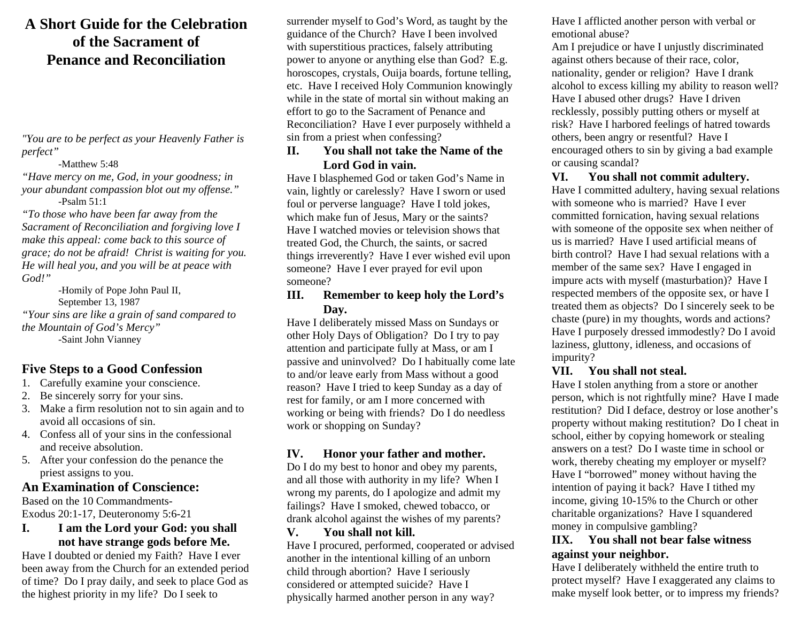# **A Short Guide for the Celebration of the Sacrament of Penance and Reconciliation**

*"You are to be perfect as your Heavenly Father is perfect"* 

-Matthew 5:48

*"Have mercy on me, God, in your goodness; in your abundant compassion blot out my offense."*  -Psalm 51:1

*"To those who have been far away from the Sacrament of Reconciliation and forgiving love I make this appeal: come back to this source of grace; do not be afraid! Christ is waiting for you. He will heal you, and you will be at peace with God!"* 

-Homily of Pope John Paul II, September 13, 1987 *"Your sins are like a grain of sand compared to the Mountain of God's Mercy"*  -Saint John Vianney

# **Five Steps to a Good Confession**

- 1. Carefully examine your conscience.
- 2. Be sincerely sorry for your sins.
- 3. Make a firm resolution not to sin again and to avoid all occasions of sin.
- 4. Confess all of your sins in the confessional and receive absolution.
- 5. After your confession do the penance the priest assigns to you.

## **An Examination of Conscience:**

Based on the 10 Commandments-Exodus 20:1-17, Deuteronomy 5:6-21

#### **I. I am the Lord your God: you shall not have strange gods before Me.**

Have I doubted or denied my Faith? Have I ever been away from the Church for an extended period of time? Do I pray daily, and seek to place God as the highest priority in my life? Do I seek to

surrender myself to God's Word, as taught by the guidance of the Church? Have I been involved with superstitious practices, falsely attributing power to anyone or anything else than God? E.g. horoscopes, crystals, Ouija boards, fortune telling, etc. Have I received Holy Communion knowingly while in the state of mortal sin without making an effort to go to the Sacrament of Penance and Reconciliation? Have I ever purposely withheld a sin from a priest when confessing?

### **II. You shall not take the Name of the Lord God in vain.**

Have I blasphemed God or taken God's Name in vain, lightly or carelessly? Have I sworn or used foul or perverse language? Have I told jokes, which make fun of Jesus, Mary or the saints? Have I watched movies or television shows that treated God, the Church, the saints, or sacred things irreverently? Have I ever wished evil upon someone? Have I ever prayed for evil upon someone?

#### **III. Remember to keep holy the Lord's Day.**

Have I deliberately missed Mass on Sundays or other Holy Days of Obligation? Do I try to pay attention and participate fully at Mass, or am I passive and uninvolved? Do I habitually come late to and/or leave early from Mass without a good reason? Have I tried to keep Sunday as a day of rest for family, or am I more concerned with working or being with friends? Do I do needless work or shopping on Sunday?

## **IV. Honor your father and mother.**

Do I do my best to honor and obey my parents, and all those with authority in my life? When I wrong my parents, do I apologize and admit my failings? Have I smoked, chewed tobacco, or drank alcohol against the wishes of my parents?

#### **V. You shall not kill.**

Have I procured, performed, cooperated or advised another in the intentional killing of an unborn child through abortion? Have I seriously considered or attempted suicide? Have I physically harmed another person in any way?

Have I afflicted another person with verbal or emotional abuse?

Am I prejudice or have I unjustly discriminated against others because of their race, color, nationality, gender or religion? Have I drank alcohol to excess killing my ability to reason well? Have I abused other drugs? Have I driven recklessly, possibly putting others or myself at risk? Have I harbored feelings of hatred towards others, been angry or resentful? Have I encouraged others to sin by giving a bad example or causing scandal?

## **VI. You shall not commit adultery.**

Have I committed adultery, having sexual relations with someone who is married? Have I ever committed fornication, having sexual relations with someone of the opposite sex when neither of us is married? Have I used artificial means of birth control? Have I had sexual relations with a member of the same sex? Have I engaged in impure acts with myself (masturbation)? Have I respected members of the opposite sex, or have I treated them as objects? Do I sincerely seek to be chaste (pure) in my thoughts, words and actions? Have I purposely dressed immodestly? Do I avoid laziness, gluttony, idleness, and occasions of impurity?

## **VII. You shall not steal.**

Have I stolen anything from a store or another person, which is not rightfully mine? Have I made restitution? Did I deface, destroy or lose another's property without making restitution? Do I cheat in school, either by copying homework or stealing answers on a test? Do I waste time in school or work, thereby cheating my employer or myself? Have I "borrowed" money without having the intention of paying it back? Have I tithed my income, giving 10-15% to the Church or other charitable organizations? Have I squandered money in compulsive gambling?

## **IIX. You shall not bear false witness against your neighbor.**

Have I deliberately withheld the entire truth to protect myself? Have I exaggerated any claims to make myself look better, or to impress my friends?